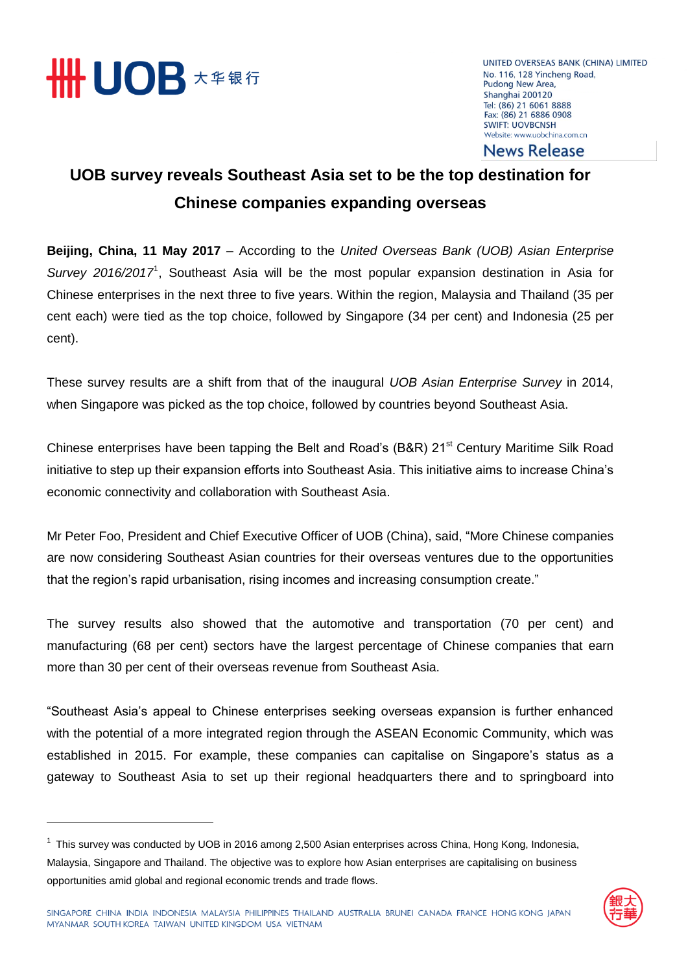

UNITED OVERSEAS BANK (CHINA) LIMITED No. 116, 128 Yincheng Road, Pudong New Area, Shanghai 200120 Tel: (86) 21 6061 8888 Fax: (86) 21 6886 0908 **SWIFT: UOVBCNSH** Website: www.uobchina.com.cn

### **News Release**

## **UOB survey reveals Southeast Asia set to be the top destination for Chinese companies expanding overseas**

**Beijing, China, 11 May 2017** – According to the *United Overseas Bank (UOB) Asian Enterprise*  Survey 2016/2017<sup>1</sup>, Southeast Asia will be the most popular expansion destination in Asia for Chinese enterprises in the next three to five years. Within the region, Malaysia and Thailand (35 per cent each) were tied as the top choice, followed by Singapore (34 per cent) and Indonesia (25 per cent).

These survey results are a shift from that of the inaugural *UOB Asian Enterprise Survey* in 2014, when Singapore was picked as the top choice, followed by countries beyond Southeast Asia.

Chinese enterprises have been tapping the Belt and Road's (B&R) 21<sup>st</sup> Century Maritime Silk Road initiative to step up their expansion efforts into Southeast Asia. This initiative aims to increase China's economic connectivity and collaboration with Southeast Asia.

Mr Peter Foo, President and Chief Executive Officer of UOB (China), said, "More Chinese companies are now considering Southeast Asian countries for their overseas ventures due to the opportunities that the region's rapid urbanisation, rising incomes and increasing consumption create."

The survey results also showed that the automotive and transportation (70 per cent) and manufacturing (68 per cent) sectors have the largest percentage of Chinese companies that earn more than 30 per cent of their overseas revenue from Southeast Asia.

"Southeast Asia's appeal to Chinese enterprises seeking overseas expansion is further enhanced with the potential of a more integrated region through the ASEAN Economic Community, which was established in 2015. For example, these companies can capitalise on Singapore's status as a gateway to Southeast Asia to set up their regional headquarters there and to springboard into

<sup>&</sup>lt;sup>1</sup> This survey was conducted by UOB in 2016 among 2,500 Asian enterprises across China, Hong Kong, Indonesia, Malaysia, Singapore and Thailand. The objective was to explore how Asian enterprises are capitalising on business opportunities amid global and regional economic trends and trade flows.

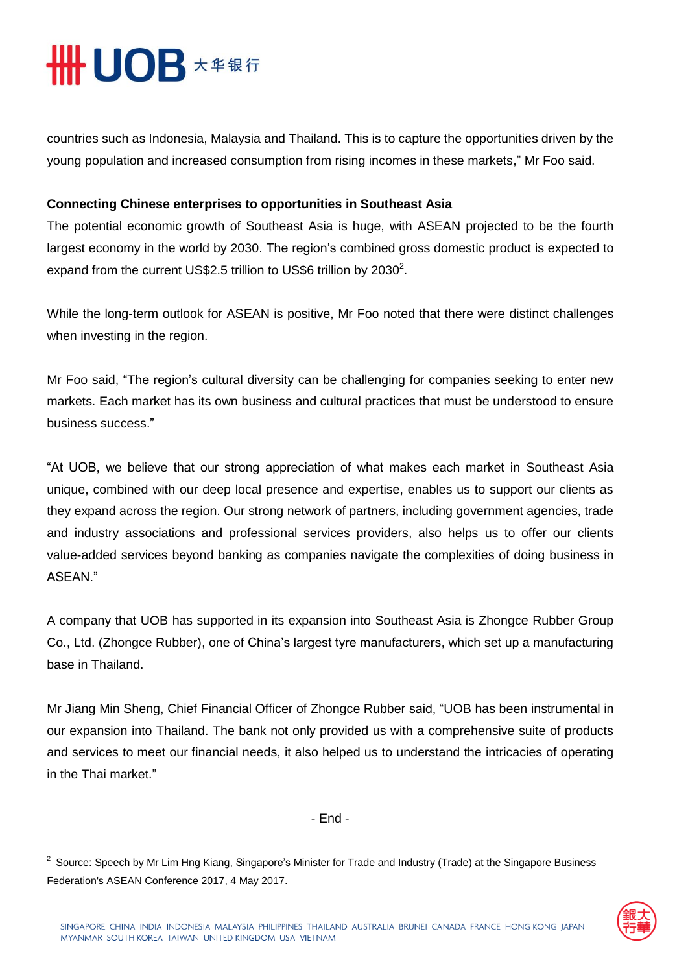# **HHUOB \*\*\*\***

 $\overline{a}$ 

countries such as Indonesia, Malaysia and Thailand. This is to capture the opportunities driven by the young population and increased consumption from rising incomes in these markets," Mr Foo said.

### **Connecting Chinese enterprises to opportunities in Southeast Asia**

The potential economic growth of Southeast Asia is huge, with ASEAN projected to be the fourth largest economy in the world by 2030. The region's combined gross domestic product is expected to expand from the current US\$2.5 trillion to US\$6 trillion by 2030<sup>2</sup>.

While the long-term outlook for ASEAN is positive, Mr Foo noted that there were distinct challenges when investing in the region.

Mr Foo said, "The region's cultural diversity can be challenging for companies seeking to enter new markets. Each market has its own business and cultural practices that must be understood to ensure business success."

"At UOB, we believe that our strong appreciation of what makes each market in Southeast Asia unique, combined with our deep local presence and expertise, enables us to support our clients as they expand across the region. Our strong network of partners, including government agencies, trade and industry associations and professional services providers, also helps us to offer our clients value-added services beyond banking as companies navigate the complexities of doing business in ASEAN."

A company that UOB has supported in its expansion into Southeast Asia is Zhongce Rubber Group Co., Ltd. (Zhongce Rubber), one of China's largest tyre manufacturers, which set up a manufacturing base in Thailand.

Mr Jiang Min Sheng, Chief Financial Officer of Zhongce Rubber said, "UOB has been instrumental in our expansion into Thailand. The bank not only provided us with a comprehensive suite of products and services to meet our financial needs, it also helped us to understand the intricacies of operating in the Thai market."

- End -

<sup>&</sup>lt;sup>2</sup> Source: Speech by Mr Lim Hng Kiang, Singapore's Minister for Trade and Industry (Trade) at the Singapore Business Federation's ASEAN Conference 2017, 4 May 2017.